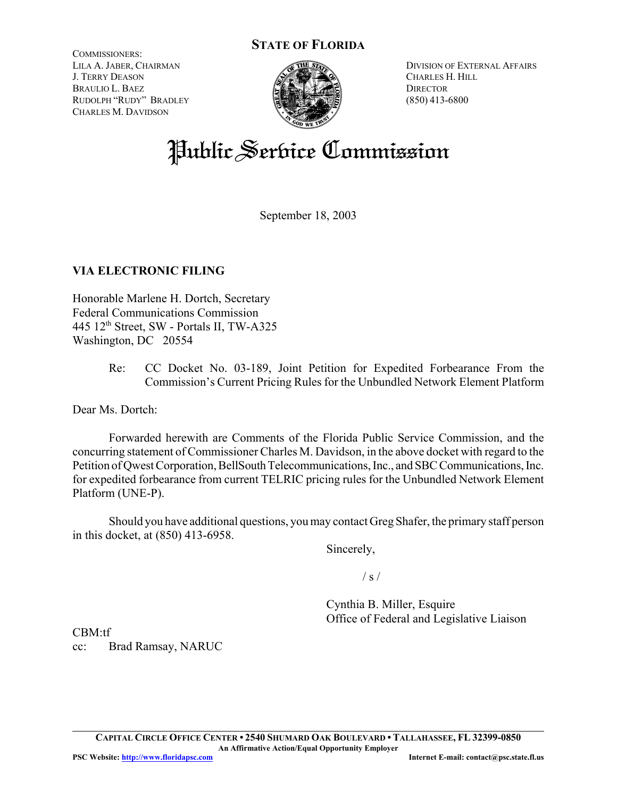# **STATE OF FLORIDA**

COMMISSIONERS: LILA A. JABER, CHAIRMAN J. TERRY DEASON BRAULIO L. BAEZ RUDOLPH "RUDY" BRADLEY CHARLES M. DAVIDSON



DIVISION OF EXTERNAL AFFAIRS CHARLES H. HILL **DIRECTOR** (850) 413-6800

# Public Service Commission

September 18, 2003

# **VIA ELECTRONIC FILING**

Honorable Marlene H. Dortch, Secretary Federal Communications Commission  $445$  12<sup>th</sup> Street, SW - Portals II, TW-A325 Washington, DC 20554

> Re: CC Docket No. 03-189, Joint Petition for Expedited Forbearance From the Commission's Current Pricing Rules for the Unbundled Network Element Platform

Dear Ms. Dortch:

Forwarded herewith are Comments of the Florida Public Service Commission, and the concurring statement of Commissioner Charles M. Davidson, in the above docket with regard to the Petition of Qwest Corporation, BellSouth Telecommunications, Inc., and SBC Communications, Inc. for expedited forbearance from current TELRIC pricing rules for the Unbundled Network Element Platform (UNE-P).

Should you have additional questions, you may contact Greg Shafer, the primary staff person in this docket, at (850) 413-6958.

Sincerely,

 $/ s /$ 

Cynthia B. Miller, Esquire Office of Federal and Legislative Liaison

CBM:tf cc: Brad Ramsay, NARUC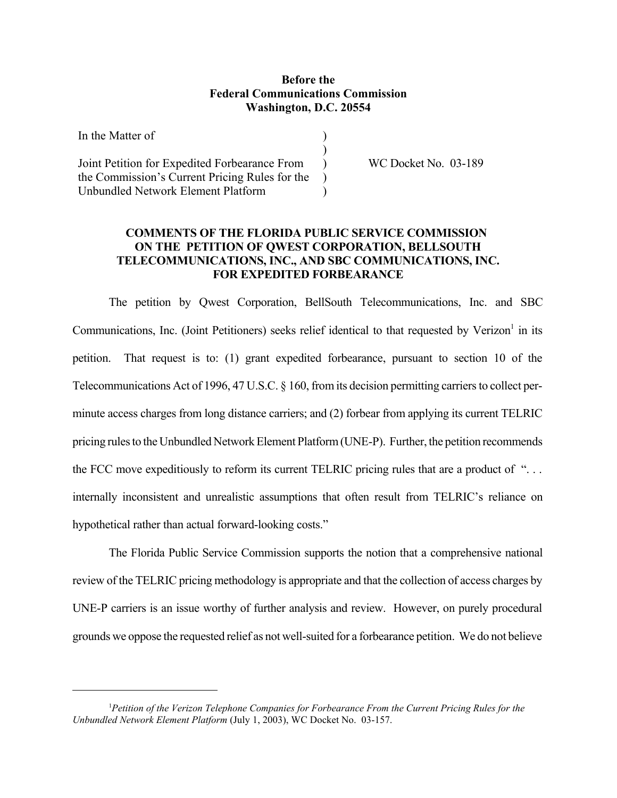### **Before the Federal Communications Commission Washington, D.C. 20554**

| In the Matter of                               |  |
|------------------------------------------------|--|
|                                                |  |
| Joint Petition for Expedited Forbearance From  |  |
| the Commission's Current Pricing Rules for the |  |
| Unbundled Network Element Platform             |  |

WC Docket No. 03-189

## **COMMENTS OF THE FLORIDA PUBLIC SERVICE COMMISSION ON THE PETITION OF QWEST CORPORATION, BELLSOUTH TELECOMMUNICATIONS, INC., AND SBC COMMUNICATIONS, INC. FOR EXPEDITED FORBEARANCE**

The petition by Qwest Corporation, BellSouth Telecommunications, Inc. and SBC Communications, Inc. (Joint Petitioners) seeks relief identical to that requested by Verizon<sup>1</sup> in its petition. That request is to: (1) grant expedited forbearance, pursuant to section 10 of the Telecommunications Act of 1996, 47 U.S.C. § 160, from its decision permitting carriers to collect perminute access charges from long distance carriers; and (2) forbear from applying its current TELRIC pricing rules to the Unbundled Network Element Platform (UNE-P). Further, the petition recommends the FCC move expeditiously to reform its current TELRIC pricing rules that are a product of ". . . internally inconsistent and unrealistic assumptions that often result from TELRIC's reliance on hypothetical rather than actual forward-looking costs."

The Florida Public Service Commission supports the notion that a comprehensive national review of the TELRIC pricing methodology is appropriate and that the collection of access charges by UNE-P carriers is an issue worthy of further analysis and review. However, on purely procedural grounds we oppose the requested relief as not well-suited for a forbearance petition. We do not believe

<sup>&</sup>lt;sup>1</sup> Petition of the Verizon Telephone Companies for Forbearance From the Current Pricing Rules for the *Unbundled Network Element Platform* (July 1, 2003), WC Docket No. 03-157.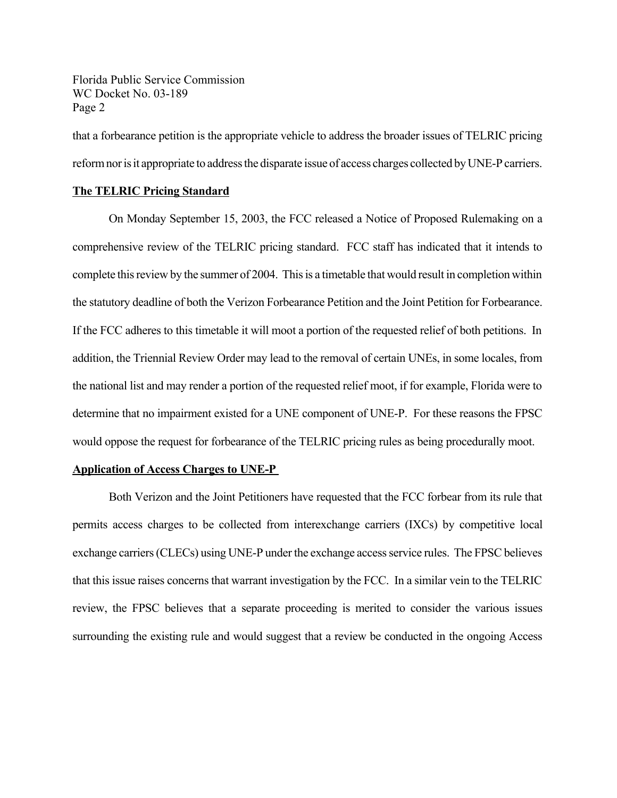Florida Public Service Commission WC Docket No. 03-189 Page 2

that a forbearance petition is the appropriate vehicle to address the broader issues of TELRIC pricing reform nor is it appropriate to address the disparate issue of access charges collected by UNE-P carriers.

### **The TELRIC Pricing Standard**

On Monday September 15, 2003, the FCC released a Notice of Proposed Rulemaking on a comprehensive review of the TELRIC pricing standard. FCC staff has indicated that it intends to complete this review by the summer of 2004. This is a timetable that would result in completion within the statutory deadline of both the Verizon Forbearance Petition and the Joint Petition for Forbearance. If the FCC adheres to this timetable it will moot a portion of the requested relief of both petitions. In addition, the Triennial Review Order may lead to the removal of certain UNEs, in some locales, from the national list and may render a portion of the requested relief moot, if for example, Florida were to determine that no impairment existed for a UNE component of UNE-P. For these reasons the FPSC would oppose the request for forbearance of the TELRIC pricing rules as being procedurally moot.

#### **Application of Access Charges to UNE-P**

Both Verizon and the Joint Petitioners have requested that the FCC forbear from its rule that permits access charges to be collected from interexchange carriers (IXCs) by competitive local exchange carriers (CLECs) using UNE-P under the exchange access service rules. The FPSC believes that this issue raises concerns that warrant investigation by the FCC. In a similar vein to the TELRIC review, the FPSC believes that a separate proceeding is merited to consider the various issues surrounding the existing rule and would suggest that a review be conducted in the ongoing Access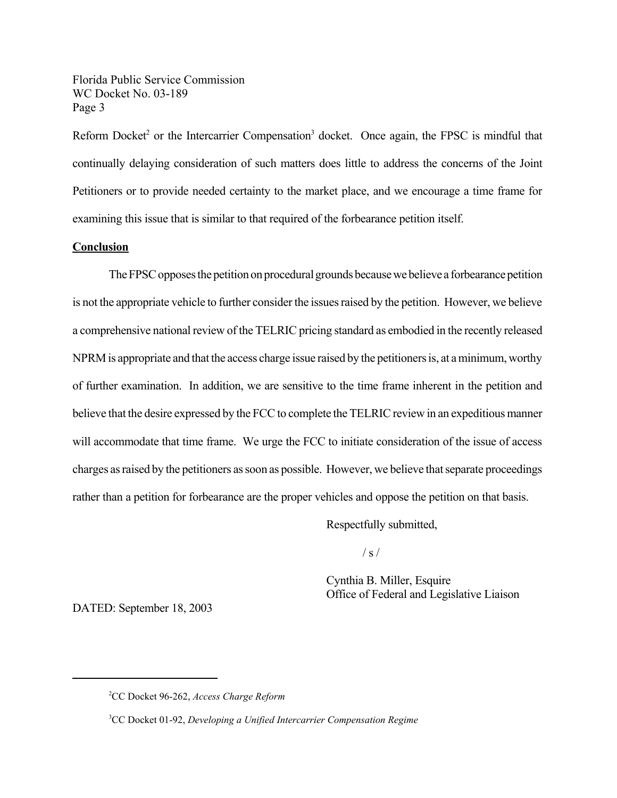Florida Public Service Commission WC Docket No. 03-189 Page 3

Reform Docket<sup>2</sup> or the Intercarrier Compensation<sup>3</sup> docket. Once again, the FPSC is mindful that continually delaying consideration of such matters does little to address the concerns of the Joint Petitioners or to provide needed certainty to the market place, and we encourage a time frame for examining this issue that is similar to that required of the forbearance petition itself.

#### **Conclusion**

The FPSC opposes the petition on procedural grounds because we believe a forbearance petition is not the appropriate vehicle to further consider the issues raised by the petition. However, we believe a comprehensive national review of the TELRIC pricing standard as embodied in the recently released NPRM is appropriate and that the access charge issue raised by the petitioners is, at a minimum, worthy of further examination. In addition, we are sensitive to the time frame inherent in the petition and believe that the desire expressed by the FCC to complete the TELRIC review in an expeditious manner will accommodate that time frame. We urge the FCC to initiate consideration of the issue of access charges as raised by the petitioners as soon as possible. However, we believe that separate proceedings rather than a petition for forbearance are the proper vehicles and oppose the petition on that basis.

Respectfully submitted,

 $/ s /$ 

Cynthia B. Miller, Esquire Office of Federal and Legislative Liaison

DATED: September 18, 2003

<sup>2</sup> CC Docket 96-262, *Access Charge Reform*

<sup>3</sup> CC Docket 01-92, *Developing a Unified Intercarrier Compensation Regime*